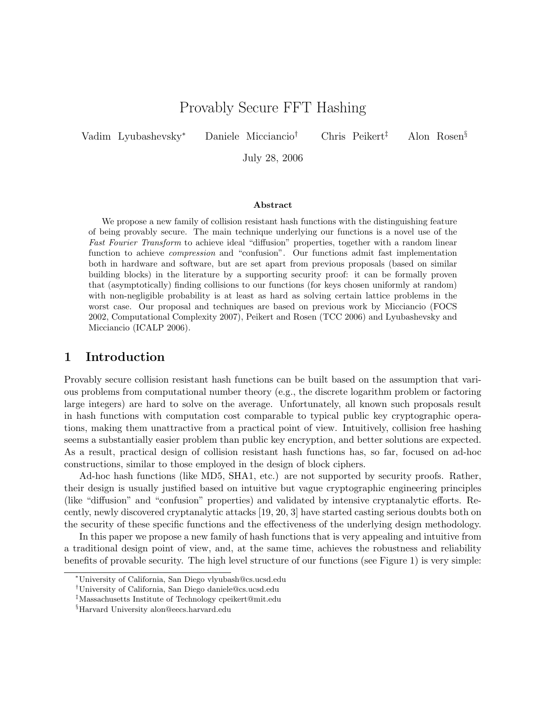# Provably Secure FFT Hashing

Vadim Lyubashevsky<sup>∗</sup> Daniele Micciancio† Chris Peikert‡ Alon Rosen§

July 28, 2006

#### Abstract

We propose a new family of collision resistant hash functions with the distinguishing feature of being provably secure. The main technique underlying our functions is a novel use of the Fast Fourier Transform to achieve ideal "diffusion" properties, together with a random linear function to achieve compression and "confusion". Our functions admit fast implementation both in hardware and software, but are set apart from previous proposals (based on similar building blocks) in the literature by a supporting security proof: it can be formally proven that (asymptotically) finding collisions to our functions (for keys chosen uniformly at random) with non-negligible probability is at least as hard as solving certain lattice problems in the worst case. Our proposal and techniques are based on previous work by Micciancio (FOCS 2002, Computational Complexity 2007), Peikert and Rosen (TCC 2006) and Lyubashevsky and Micciancio (ICALP 2006).

### 1 Introduction

Provably secure collision resistant hash functions can be built based on the assumption that various problems from computational number theory (e.g., the discrete logarithm problem or factoring large integers) are hard to solve on the average. Unfortunately, all known such proposals result in hash functions with computation cost comparable to typical public key cryptographic operations, making them unattractive from a practical point of view. Intuitively, collision free hashing seems a substantially easier problem than public key encryption, and better solutions are expected. As a result, practical design of collision resistant hash functions has, so far, focused on ad-hoc constructions, similar to those employed in the design of block ciphers.

Ad-hoc hash functions (like MD5, SHA1, etc.) are not supported by security proofs. Rather, their design is usually justified based on intuitive but vague cryptographic engineering principles (like "diffusion" and "confusion" properties) and validated by intensive cryptanalytic efforts. Recently, newly discovered cryptanalytic attacks [19, 20, 3] have started casting serious doubts both on the security of these specific functions and the effectiveness of the underlying design methodology.

In this paper we propose a new family of hash functions that is very appealing and intuitive from a traditional design point of view, and, at the same time, achieves the robustness and reliability benefits of provable security. The high level structure of our functions (see Figure 1) is very simple:

<sup>∗</sup>University of California, San Diego vlyubash@cs.ucsd.edu

<sup>†</sup>University of California, San Diego daniele@cs.ucsd.edu

<sup>‡</sup>Massachusetts Institute of Technology cpeikert@mit.edu

<sup>§</sup>Harvard University alon@eecs.harvard.edu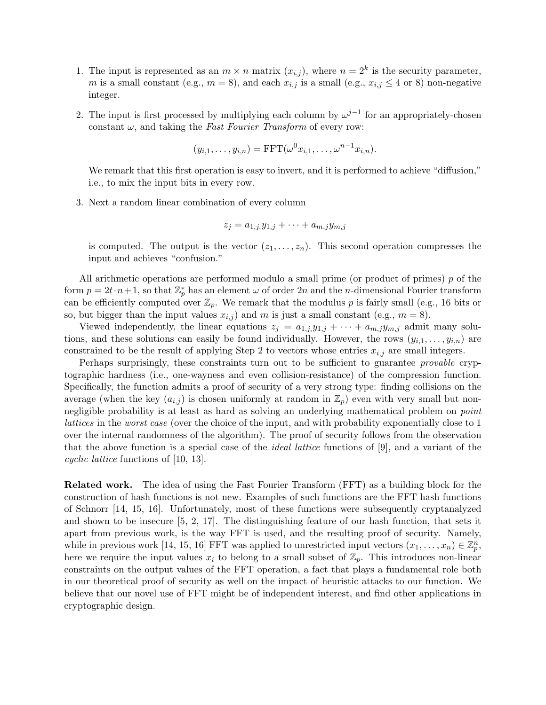- 1. The input is represented as an  $m \times n$  matrix  $(x_{i,j})$ , where  $n = 2^k$  is the security parameter, m is a small constant (e.g.,  $m = 8$ ), and each  $x_{i,j}$  is a small (e.g.,  $x_{i,j} \leq 4$  or 8) non-negative integer.
- 2. The input is first processed by multiplying each column by  $\omega^{j-1}$  for an appropriately-chosen constant  $\omega$ , and taking the Fast Fourier Transform of every row:

$$
(y_{i,1},\ldots,y_{i,n}) = \text{FFT}(\omega^0 x_{i,1},\ldots,\omega^{n-1} x_{i,n}).
$$

We remark that this first operation is easy to invert, and it is performed to achieve "diffusion," i.e., to mix the input bits in every row.

3. Next a random linear combination of every column

$$
z_j = a_{1,j} y_{1,j} + \dots + a_{m,j} y_{m,j}
$$

is computed. The output is the vector  $(z_1, \ldots, z_n)$ . This second operation compresses the input and achieves "confusion."

All arithmetic operations are performed modulo a small prime (or product of primes) p of the form  $p = 2t \cdot n + 1$ , so that  $\mathbb{Z}_p^*$  has an element  $\omega$  of order 2n and the n-dimensional Fourier transform can be efficiently computed over  $\mathbb{Z}_p$ . We remark that the modulus p is fairly small (e.g., 16 bits or so, but bigger than the input values  $x_{i,j}$  and m is just a small constant (e.g.,  $m = 8$ ).

Viewed independently, the linear equations  $z_j = a_{1,j}y_{1,j} + \cdots + a_{m,j}y_{m,j}$  admit many solutions, and these solutions can easily be found individually. However, the rows  $(y_{i,1},...,y_{i,n})$  are constrained to be the result of applying Step 2 to vectors whose entries  $x_{i,j}$  are small integers.

Perhaps surprisingly, these constraints turn out to be sufficient to guarantee *provable* cryptographic hardness (i.e., one-wayness and even collision-resistance) of the compression function. Specifically, the function admits a proof of security of a very strong type: finding collisions on the average (when the key  $(a_{i,j})$  is chosen uniformly at random in  $\mathbb{Z}_p$ ) even with very small but nonnegligible probability is at least as hard as solving an underlying mathematical problem on *point* lattices in the worst case (over the choice of the input, and with probability exponentially close to 1 over the internal randomness of the algorithm). The proof of security follows from the observation that the above function is a special case of the ideal lattice functions of [9], and a variant of the cyclic lattice functions of [10, 13].

Related work. The idea of using the Fast Fourier Transform (FFT) as a building block for the construction of hash functions is not new. Examples of such functions are the FFT hash functions of Schnorr [14, 15, 16]. Unfortunately, most of these functions were subsequently cryptanalyzed and shown to be insecure [5, 2, 17]. The distinguishing feature of our hash function, that sets it apart from previous work, is the way FFT is used, and the resulting proof of security. Namely, while in previous work [14, 15, 16] FFT was applied to unrestricted input vectors  $(x_1, \ldots, x_n) \in \mathbb{Z}_p^n$ , here we require the input values  $x_i$  to belong to a small subset of  $\mathbb{Z}_p$ . This introduces non-linear constraints on the output values of the FFT operation, a fact that plays a fundamental role both in our theoretical proof of security as well on the impact of heuristic attacks to our function. We believe that our novel use of FFT might be of independent interest, and find other applications in cryptographic design.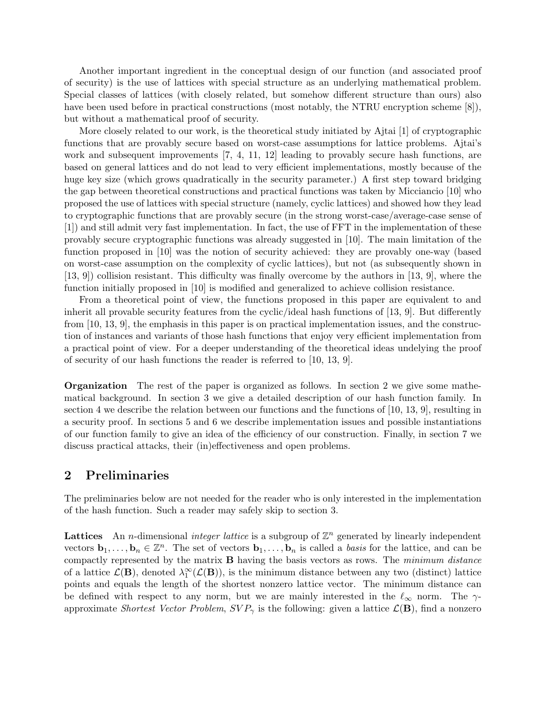Another important ingredient in the conceptual design of our function (and associated proof of security) is the use of lattices with special structure as an underlying mathematical problem. Special classes of lattices (with closely related, but somehow different structure than ours) also have been used before in practical constructions (most notably, the NTRU encryption scheme [8]), but without a mathematical proof of security.

More closely related to our work, is the theoretical study initiated by Ajtai [1] of cryptographic functions that are provably secure based on worst-case assumptions for lattice problems. Ajtai's work and subsequent improvements [7, 4, 11, 12] leading to provably secure hash functions, are based on general lattices and do not lead to very efficient implementations, mostly because of the huge key size (which grows quadratically in the security parameter.) A first step toward bridging the gap between theoretical constructions and practical functions was taken by Micciancio [10] who proposed the use of lattices with special structure (namely, cyclic lattices) and showed how they lead to cryptographic functions that are provably secure (in the strong worst-case/average-case sense of [1]) and still admit very fast implementation. In fact, the use of FFT in the implementation of these provably secure cryptographic functions was already suggested in [10]. The main limitation of the function proposed in [10] was the notion of security achieved: they are provably one-way (based on worst-case assumption on the complexity of cyclic lattices), but not (as subsequently shown in [13, 9]) collision resistant. This difficulty was finally overcome by the authors in [13, 9], where the function initially proposed in [10] is modified and generalized to achieve collision resistance.

From a theoretical point of view, the functions proposed in this paper are equivalent to and inherit all provable security features from the cyclic/ideal hash functions of [13, 9]. But differently from [10, 13, 9], the emphasis in this paper is on practical implementation issues, and the construction of instances and variants of those hash functions that enjoy very efficient implementation from a practical point of view. For a deeper understanding of the theoretical ideas undelying the proof of security of our hash functions the reader is referred to [10, 13, 9].

Organization The rest of the paper is organized as follows. In section 2 we give some mathematical background. In section 3 we give a detailed description of our hash function family. In section 4 we describe the relation between our functions and the functions of [10, 13, 9], resulting in a security proof. In sections 5 and 6 we describe implementation issues and possible instantiations of our function family to give an idea of the efficiency of our construction. Finally, in section 7 we discuss practical attacks, their (in)effectiveness and open problems.

# 2 Preliminaries

The preliminaries below are not needed for the reader who is only interested in the implementation of the hash function. Such a reader may safely skip to section 3.

**Lattices** An *n*-dimensional *integer lattice* is a subgroup of  $\mathbb{Z}^n$  generated by linearly independent vectors  $\mathbf{b}_1,\ldots,\mathbf{b}_n\in\mathbb{Z}^n$ . The set of vectors  $\mathbf{b}_1,\ldots,\mathbf{b}_n$  is called a *basis* for the lattice, and can be compactly represented by the matrix B having the basis vectors as rows. The minimum distance of a lattice  $\mathcal{L}(\mathbf{B})$ , denoted  $\lambda_1^{\infty}(\mathcal{L}(\mathbf{B}))$ , is the minimum distance between any two (distinct) lattice points and equals the length of the shortest nonzero lattice vector. The minimum distance can be defined with respect to any norm, but we are mainly interested in the  $\ell_{\infty}$  norm. The  $\gamma$ approximate Shortest Vector Problem,  $SVP_{\gamma}$  is the following: given a lattice  $\mathcal{L}(\mathbf{B})$ , find a nonzero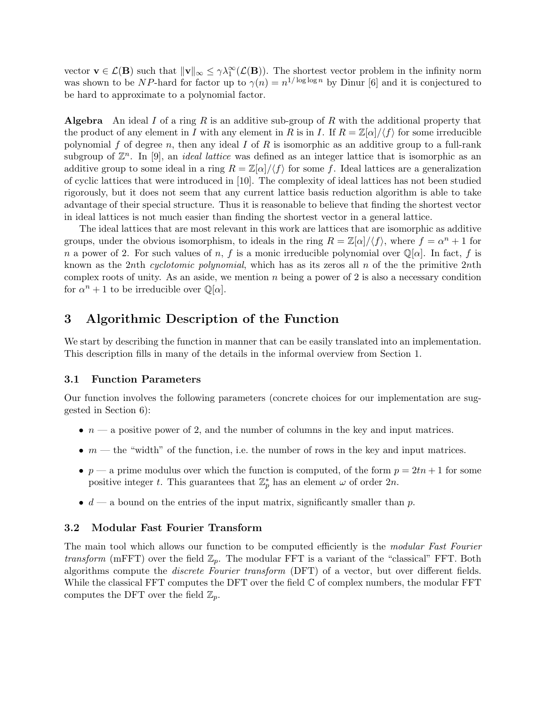vector  $\mathbf{v} \in \mathcal{L}(\mathbf{B})$  such that  $\|\mathbf{v}\|_{\infty} \leq \gamma \lambda_1^{\infty}(\mathcal{L}(\mathbf{B}))$ . The shortest vector problem in the infinity norm was shown to be NP-hard for factor up to  $\gamma(n) = n^{1/\log \log n}$  by Dinur [6] and it is conjectured to be hard to approximate to a polynomial factor.

**Algebra** An ideal I of a ring R is an additive sub-group of R with the additional property that the product of any element in I with any element in R is in I. If  $R = \mathbb{Z}[\alpha]/\langle f \rangle$  for some irreducible polynomial f of degree n, then any ideal I of R is isomorphic as an additive group to a full-rank subgroup of  $\mathbb{Z}^n$ . In [9], an *ideal lattice* was defined as an integer lattice that is isomorphic as an additive group to some ideal in a ring  $R = \mathbb{Z}[\alpha]/\langle f \rangle$  for some f. Ideal lattices are a generalization of cyclic lattices that were introduced in [10]. The complexity of ideal lattices has not been studied rigorously, but it does not seem that any current lattice basis reduction algorithm is able to take advantage of their special structure. Thus it is reasonable to believe that finding the shortest vector in ideal lattices is not much easier than finding the shortest vector in a general lattice.

The ideal lattices that are most relevant in this work are lattices that are isomorphic as additive groups, under the obvious isomorphism, to ideals in the ring  $R = \mathbb{Z}[\alpha]/\langle f \rangle$ , where  $f = \alpha^n + 1$  for n a power of 2. For such values of n, f is a monic irreducible polynomial over  $\mathbb{Q}[\alpha]$ . In fact, f is known as the 2nth cyclotomic polynomial, which has as its zeros all n of the the primitive 2nth complex roots of unity. As an aside, we mention  $n$  being a power of 2 is also a necessary condition for  $\alpha^n + 1$  to be irreducible over  $\mathbb{Q}[\alpha]$ .

# 3 Algorithmic Description of the Function

We start by describing the function in manner that can be easily translated into an implementation. This description fills in many of the details in the informal overview from Section 1.

### 3.1 Function Parameters

Our function involves the following parameters (concrete choices for our implementation are suggested in Section 6):

- $n a$  positive power of 2, and the number of columns in the key and input matrices.
- $m$  the "width" of the function, i.e. the number of rows in the key and input matrices.
- $p a$  prime modulus over which the function is computed, of the form  $p = 2tn + 1$  for some positive integer t. This guarantees that  $\mathbb{Z}_p^*$  has an element  $\omega$  of order  $2n$ .
- $d a$  bound on the entries of the input matrix, significantly smaller than p.

#### 3.2 Modular Fast Fourier Transform

The main tool which allows our function to be computed efficiently is the modular Fast Fourier *transform* (mFFT) over the field  $\mathbb{Z}_p$ . The modular FFT is a variant of the "classical" FFT. Both algorithms compute the discrete Fourier transform (DFT) of a vector, but over different fields. While the classical FFT computes the DFT over the field  $\mathbb C$  of complex numbers, the modular FFT computes the DFT over the field  $\mathbb{Z}_p$ .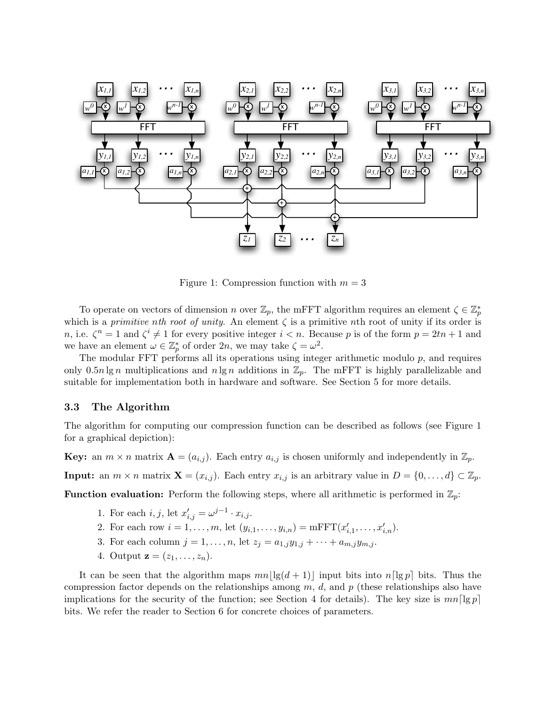

Figure 1: Compression function with  $m = 3$ 

To operate on vectors of dimension n over  $\mathbb{Z}_p$ , the mFFT algorithm requires an element  $\zeta \in \mathbb{Z}_p^*$ which is a primitive nth root of unity. An element  $\zeta$  is a primitive nth root of unity if its order is n, i.e.  $\zeta^n = 1$  and  $\zeta^i \neq 1$  for every positive integer  $i < n$ . Because p is of the form  $p = 2tn + 1$  and we have an element  $\omega \in \mathbb{Z}_p^*$  of order  $2n$ , we may take  $\zeta = \omega^2$ .

The modular FFT performs all its operations using integer arithmetic modulo  $p$ , and requires only 0.5n lg n multiplications and  $n \lg n$  additions in  $\mathbb{Z}_p$ . The mFFT is highly parallelizable and suitable for implementation both in hardware and software. See Section 5 for more details.

#### 3.3 The Algorithm

The algorithm for computing our compression function can be described as follows (see Figure 1 for a graphical depiction):

**Key:** an  $m \times n$  matrix  $\mathbf{A} = (a_{i,j})$ . Each entry  $a_{i,j}$  is chosen uniformly and independently in  $\mathbb{Z}_p$ .

**Input:** an  $m \times n$  matrix  $\mathbf{X} = (x_{i,j})$ . Each entry  $x_{i,j}$  is an arbitrary value in  $D = \{0, \ldots, d\} \subset \mathbb{Z}_p$ .

**Function evaluation:** Perform the following steps, where all arithmetic is performed in  $\mathbb{Z}_p$ :

- 1. For each  $i, j$ , let  $x'_{i,j} = \omega^{j-1} \cdot x_{i,j}$ .
- 2. For each row  $i = 1, ..., m$ , let  $(y_{i,1}, ..., y_{i,n}) = \text{mFFT}(x'_{i,1}, ..., x'_{i,n}).$
- 3. For each column  $j = 1, ..., n$ , let  $z_j = a_{1,j}y_{1,j} + \cdots + a_{m,j}y_{m,j}$ .
- 4. Output  $z = (z_1, ..., z_n)$ .

It can be seen that the algorithm maps  $mn||g(d + 1)||$  input bits into  $n[lg p]$  bits. Thus the compression factor depends on the relationships among  $m$ ,  $d$ , and  $p$  (these relationships also have implications for the security of the function; see Section 4 for details). The key size is  $mn\lceil \lg p \rceil$ bits. We refer the reader to Section 6 for concrete choices of parameters.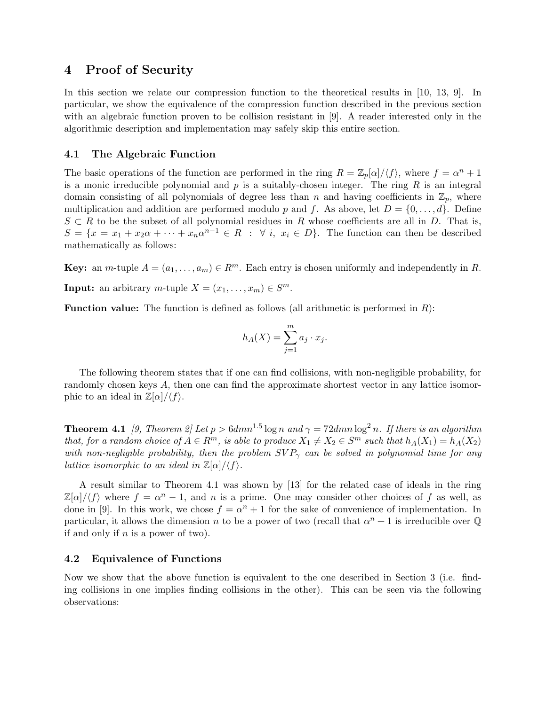# 4 Proof of Security

In this section we relate our compression function to the theoretical results in [10, 13, 9]. In particular, we show the equivalence of the compression function described in the previous section with an algebraic function proven to be collision resistant in [9]. A reader interested only in the algorithmic description and implementation may safely skip this entire section.

### 4.1 The Algebraic Function

The basic operations of the function are performed in the ring  $R = \mathbb{Z}_p[\alpha]/\langle f \rangle$ , where  $f = \alpha^n + 1$ is a monic irreducible polynomial and  $p$  is a suitably-chosen integer. The ring  $R$  is an integral domain consisting of all polynomials of degree less than n and having coefficients in  $\mathbb{Z}_p$ , where multiplication and addition are performed modulo p and f. As above, let  $D = \{0, \ldots, d\}$ . Define  $S \subset R$  to be the subset of all polynomial residues in R whose coefficients are all in D. That is,  $S = \{x = x_1 + x_2\alpha + \cdots + x_n\alpha^{n-1} \in R \; : \; \forall \; i, \; x_i \in D\}.$  The function can then be described mathematically as follows:

**Key:** an *m*-tuple  $A = (a_1, \ldots, a_m) \in R^m$ . Each entry is chosen uniformly and independently in R.

**Input:** an arbitrary *m*-tuple  $X = (x_1, \ldots, x_m) \in S^m$ .

**Function value:** The function is defined as follows (all arithmetic is performed in  $R$ ):

$$
h_A(X) = \sum_{j=1}^m a_j \cdot x_j.
$$

The following theorem states that if one can find collisions, with non-negligible probability, for randomly chosen keys A, then one can find the approximate shortest vector in any lattice isomorphic to an ideal in  $\mathbb{Z}[\alpha]/\langle f \rangle$ .

**Theorem 4.1** [9, Theorem 2] Let  $p > 6dmn^{1.5}$  log n and  $\gamma = 72dmn \log^2 n$ . If there is an algorithm that, for a random choice of  $A \in \mathbb{R}^m$ , is able to produce  $X_1 \neq X_2 \in \mathbb{S}^m$  such that  $h_A(X_1) = h_A(X_2)$ with non-negligible probability, then the problem  $SVP_{\gamma}$  can be solved in polynomial time for any lattice isomorphic to an ideal in  $\mathbb{Z}[\alpha]/\langle f \rangle$ .

A result similar to Theorem 4.1 was shown by [13] for the related case of ideals in the ring  $\mathbb{Z}[\alpha]/\langle f \rangle$  where  $f = \alpha^n - 1$ , and n is a prime. One may consider other choices of f as well, as done in [9]. In this work, we chose  $f = \alpha^n + 1$  for the sake of convenience of implementation. In particular, it allows the dimension n to be a power of two (recall that  $\alpha^n + 1$  is irreducible over Q if and only if  $n$  is a power of two).

#### 4.2 Equivalence of Functions

Now we show that the above function is equivalent to the one described in Section 3 (i.e. finding collisions in one implies finding collisions in the other). This can be seen via the following observations: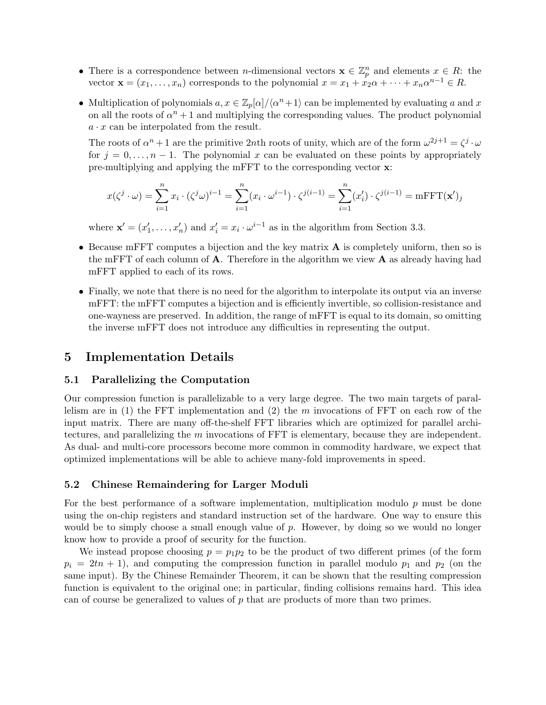- There is a correspondence between *n*-dimensional vectors  $\mathbf{x} \in \mathbb{Z}_p^n$  and elements  $x \in R$ : the vector  $\mathbf{x} = (x_1, \dots, x_n)$  corresponds to the polynomial  $x = x_1 + x_2 \alpha + \dots + x_n \alpha^{n-1} \in R$ .
- Multiplication of polynomials  $a, x \in \mathbb{Z}_p[\alpha]/\langle \alpha^n + 1 \rangle$  can be implemented by evaluating a and x on all the roots of  $\alpha^n + 1$  and multiplying the corresponding values. The product polynomial  $a \cdot x$  can be interpolated from the result.

The roots of  $\alpha^n + 1$  are the primitive 2nth roots of unity, which are of the form  $\omega^{2j+1} = \zeta^j \cdot \omega$ for  $j = 0, \ldots, n - 1$ . The polynomial x can be evaluated on these points by appropriately pre-multiplying and applying the mFFT to the corresponding vector x:

$$
x(\zeta^j \cdot \omega) = \sum_{i=1}^n x_i \cdot (\zeta^j \omega)^{i-1} = \sum_{i=1}^n (x_i \cdot \omega^{i-1}) \cdot \zeta^{j(i-1)} = \sum_{i=1}^n (x_i') \cdot \zeta^{j(i-1)} = \text{mFFT}(\mathbf{x}')
$$

where  $\mathbf{x}' = (x'_1, \dots, x'_n)$  and  $x'_i = x_i \cdot \omega^{i-1}$  as in the algorithm from Section 3.3.

- Because mFFT computes a bijection and the key matrix **A** is completely uniform, then so is the mFFT of each column of  $A$ . Therefore in the algorithm we view  $A$  as already having had mFFT applied to each of its rows.
- Finally, we note that there is no need for the algorithm to interpolate its output via an inverse mFFT: the mFFT computes a bijection and is efficiently invertible, so collision-resistance and one-wayness are preserved. In addition, the range of mFFT is equal to its domain, so omitting the inverse mFFT does not introduce any difficulties in representing the output.

# 5 Implementation Details

### 5.1 Parallelizing the Computation

Our compression function is parallelizable to a very large degree. The two main targets of parallelism are in (1) the FFT implementation and (2) the  $m$  invocations of FFT on each row of the input matrix. There are many off-the-shelf FFT libraries which are optimized for parallel architectures, and parallelizing the m invocations of FFT is elementary, because they are independent. As dual- and multi-core processors become more common in commodity hardware, we expect that optimized implementations will be able to achieve many-fold improvements in speed.

### 5.2 Chinese Remaindering for Larger Moduli

For the best performance of a software implementation, multiplication modulo p must be done using the on-chip registers and standard instruction set of the hardware. One way to ensure this would be to simply choose a small enough value of  $p$ . However, by doing so we would no longer know how to provide a proof of security for the function.

We instead propose choosing  $p = p_1p_2$  to be the product of two different primes (of the form  $p_i = 2tn + 1$ , and computing the compression function in parallel modulo  $p_1$  and  $p_2$  (on the same input). By the Chinese Remainder Theorem, it can be shown that the resulting compression function is equivalent to the original one; in particular, finding collisions remains hard. This idea can of course be generalized to values of  $p$  that are products of more than two primes.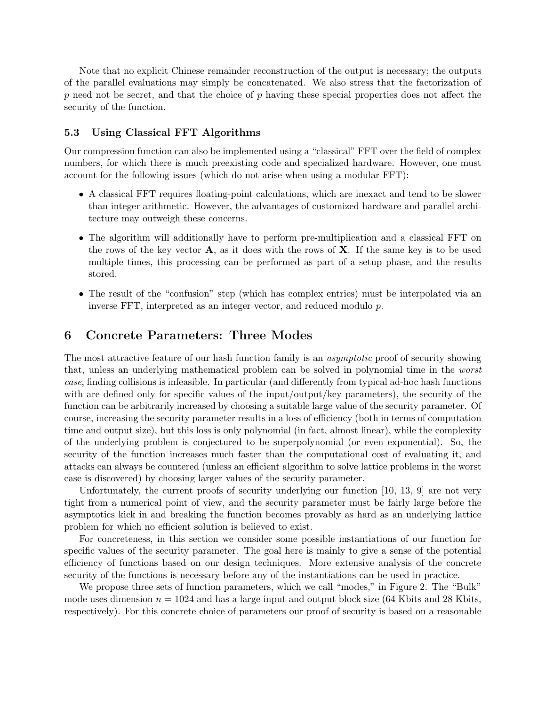Note that no explicit Chinese remainder reconstruction of the output is necessary; the outputs of the parallel evaluations may simply be concatenated. We also stress that the factorization of p need not be secret, and that the choice of p having these special properties does not affect the security of the function.

### 5.3 Using Classical FFT Algorithms

Our compression function can also be implemented using a "classical" FFT over the field of complex numbers, for which there is much preexisting code and specialized hardware. However, one must account for the following issues (which do not arise when using a modular FFT):

- A classical FFT requires floating-point calculations, which are inexact and tend to be slower than integer arithmetic. However, the advantages of customized hardware and parallel architecture may outweigh these concerns.
- The algorithm will additionally have to perform pre-multiplication and a classical FFT on the rows of the key vector  $\mathbf{A}$ , as it does with the rows of  $\mathbf{X}$ . If the same key is to be used multiple times, this processing can be performed as part of a setup phase, and the results stored.
- The result of the "confusion" step (which has complex entries) must be interpolated via an inverse FFT, interpreted as an integer vector, and reduced modulo p.

### 6 Concrete Parameters: Three Modes

The most attractive feature of our hash function family is an *asymptotic* proof of security showing that, unless an underlying mathematical problem can be solved in polynomial time in the worst case, finding collisions is infeasible. In particular (and differently from typical ad-hoc hash functions with are defined only for specific values of the input/output/key parameters), the security of the function can be arbitrarily increased by choosing a suitable large value of the security parameter. Of course, increasing the security parameter results in a loss of efficiency (both in terms of computation time and output size), but this loss is only polynomial (in fact, almost linear), while the complexity of the underlying problem is conjectured to be superpolynomial (or even exponential). So, the security of the function increases much faster than the computational cost of evaluating it, and attacks can always be countered (unless an efficient algorithm to solve lattice problems in the worst case is discovered) by choosing larger values of the security parameter.

Unfortunately, the current proofs of security underlying our function [10, 13, 9] are not very tight from a numerical point of view, and the security parameter must be fairly large before the asymptotics kick in and breaking the function becomes provably as hard as an underlying lattice problem for which no efficient solution is believed to exist.

For concreteness, in this section we consider some possible instantiations of our function for specific values of the security parameter. The goal here is mainly to give a sense of the potential efficiency of functions based on our design techniques. More extensive analysis of the concrete security of the functions is necessary before any of the instantiations can be used in practice.

We propose three sets of function parameters, which we call "modes," in Figure 2. The "Bulk" mode uses dimension  $n = 1024$  and has a large input and output block size (64 Kbits and 28 Kbits, respectively). For this concrete choice of parameters our proof of security is based on a reasonable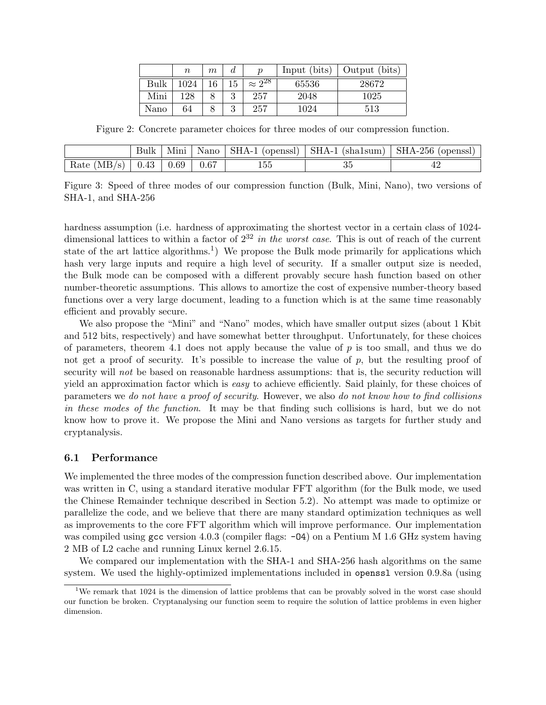|      | $\, n$ | m  | a        | п                | Input (bits) | Output (bits) |
|------|--------|----|----------|------------------|--------------|---------------|
| Bulk | 1024   | 16 |          | $\approx 2^{28}$ | 65536        | 28672         |
| Mini | 128    |    | റ<br>IJ  | 257              | 2048         | 1025          |
| Nano | 64     |    | $\Omega$ | 257              | 1024         | 513           |

Figure 2: Concrete parameter choices for three modes of our compression function.

|                                    |  |      | Mini   Nano   SHA-1 (openssl)   SHA-1 (sha1sum)   SHA-256 (openssl) |
|------------------------------------|--|------|---------------------------------------------------------------------|
| Rate $(MB/s)$   0.43   0.69   0.67 |  | GG 1 |                                                                     |

Figure 3: Speed of three modes of our compression function (Bulk, Mini, Nano), two versions of SHA-1, and SHA-256

hardness assumption (i.e. hardness of approximating the shortest vector in a certain class of 1024 dimensional lattices to within a factor of  $2^{32}$  in the worst case. This is out of reach of the current state of the art lattice algorithms.<sup>1</sup>) We propose the Bulk mode primarily for applications which hash very large inputs and require a high level of security. If a smaller output size is needed, the Bulk mode can be composed with a different provably secure hash function based on other number-theoretic assumptions. This allows to amortize the cost of expensive number-theory based functions over a very large document, leading to a function which is at the same time reasonably efficient and provably secure.

We also propose the "Mini" and "Nano" modes, which have smaller output sizes (about 1 Kbit and 512 bits, respectively) and have somewhat better throughput. Unfortunately, for these choices of parameters, theorem 4.1 does not apply because the value of  $p$  is too small, and thus we do not get a proof of security. It's possible to increase the value of  $p$ , but the resulting proof of security will not be based on reasonable hardness assumptions: that is, the security reduction will yield an approximation factor which is easy to achieve efficiently. Said plainly, for these choices of parameters we do not have a proof of security. However, we also do not know how to find collisions in these modes of the function. It may be that finding such collisions is hard, but we do not know how to prove it. We propose the Mini and Nano versions as targets for further study and cryptanalysis.

### 6.1 Performance

We implemented the three modes of the compression function described above. Our implementation was written in C, using a standard iterative modular FFT algorithm (for the Bulk mode, we used the Chinese Remainder technique described in Section 5.2). No attempt was made to optimize or parallelize the code, and we believe that there are many standard optimization techniques as well as improvements to the core FFT algorithm which will improve performance. Our implementation was compiled using  $\gcd(4.0.3)$  (compiler flags:  $-0.4$ ) on a Pentium M 1.6 GHz system having 2 MB of L2 cache and running Linux kernel 2.6.15.

We compared our implementation with the SHA-1 and SHA-256 hash algorithms on the same system. We used the highly-optimized implementations included in openssl version 0.9.8a (using

<sup>&</sup>lt;sup>1</sup>We remark that 1024 is the dimension of lattice problems that can be provably solved in the worst case should our function be broken. Cryptanalysing our function seem to require the solution of lattice problems in even higher dimension.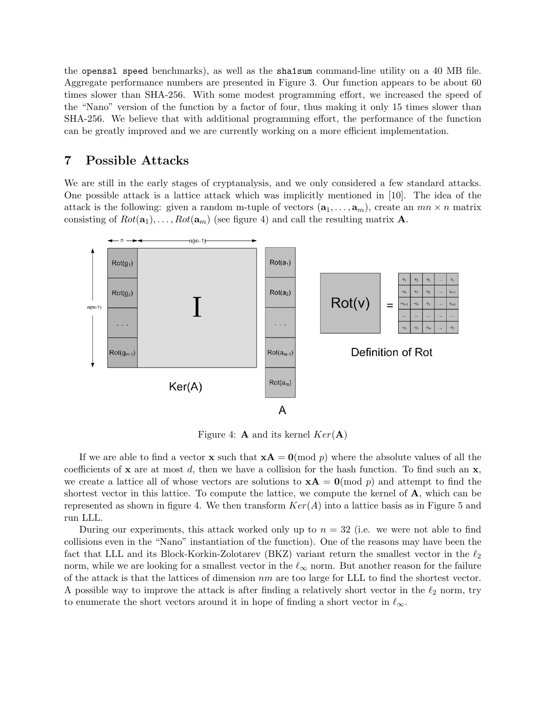the openssl speed benchmarks), as well as the sha1sum command-line utility on a 40 MB file. Aggregate performance numbers are presented in Figure 3. Our function appears to be about 60 times slower than SHA-256. With some modest programming effort, we increased the speed of the "Nano" version of the function by a factor of four, thus making it only 15 times slower than SHA-256. We believe that with additional programming effort, the performance of the function can be greatly improved and we are currently working on a more efficient implementation.

# 7 Possible Attacks

We are still in the early stages of cryptanalysis, and we only considered a few standard attacks. One possible attack is a lattice attack which was implicitly mentioned in [10]. The idea of the attack is the following: given a random m-tuple of vectors  $(a_1, \ldots, a_m)$ , create an  $mn \times n$  matrix consisting of  $Rot(\mathbf{a}_1), \ldots, Rot(\mathbf{a}_m)$  (see figure 4) and call the resulting matrix **A**.



Figure 4: **A** and its kernel  $Ker(A)$ 

If we are able to find a vector **x** such that  $xA = 0 \pmod{p}$  where the absolute values of all the coefficients of **x** are at most d, then we have a collision for the hash function. To find such an **x**, we create a lattice all of whose vectors are solutions to  $xA = 0 \pmod{p}$  and attempt to find the shortest vector in this lattice. To compute the lattice, we compute the kernel of  $\bf{A}$ , which can be represented as shown in figure 4. We then transform  $Ker(A)$  into a lattice basis as in Figure 5 and run LLL.

During our experiments, this attack worked only up to  $n = 32$  (i.e. we were not able to find collisions even in the "Nano" instantiation of the function). One of the reasons may have been the fact that LLL and its Block-Korkin-Zolotarev (BKZ) variant return the smallest vector in the  $\ell_2$ norm, while we are looking for a smallest vector in the  $\ell_{\infty}$  norm. But another reason for the failure of the attack is that the lattices of dimension  $nm$  are too large for LLL to find the shortest vector. A possible way to improve the attack is after finding a relatively short vector in the  $\ell_2$  norm, try to enumerate the short vectors around it in hope of finding a short vector in  $\ell_{\infty}$ .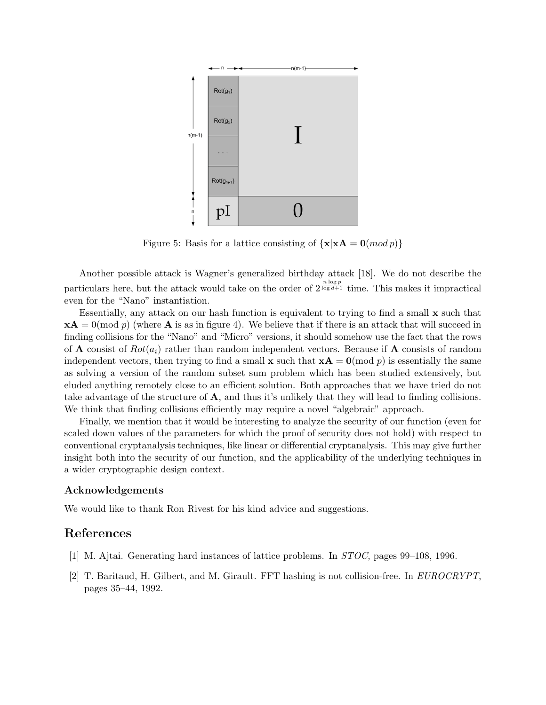

Figure 5: Basis for a lattice consisting of  $\{x | xA = 0 \pmod{p}\}\$ 

Another possible attack is Wagner's generalized birthday attack [18]. We do not describe the particulars here, but the attack would take on the order of  $2^{\frac{n \log p}{\log d + 1}}$  time. This makes it impractical even for the "Nano" instantiation.

Essentially, any attack on our hash function is equivalent to trying to find a small x such that  $xA = 0 \pmod{p}$  (where A is as in figure 4). We believe that if there is an attack that will succeed in finding collisions for the "Nano" and "Micro" versions, it should somehow use the fact that the rows of **A** consist of  $Rot(a_i)$  rather than random independent vectors. Because if **A** consists of random independent vectors, then trying to find a small **x** such that  $\mathbf{x} \mathbf{A} = \mathbf{0} \pmod{p}$  is essentially the same as solving a version of the random subset sum problem which has been studied extensively, but eluded anything remotely close to an efficient solution. Both approaches that we have tried do not take advantage of the structure of  $\mathbf{A}$ , and thus it's unlikely that they will lead to finding collisions. We think that finding collisions efficiently may require a novel "algebraic" approach.

Finally, we mention that it would be interesting to analyze the security of our function (even for scaled down values of the parameters for which the proof of security does not hold) with respect to conventional cryptanalysis techniques, like linear or differential cryptanalysis. This may give further insight both into the security of our function, and the applicability of the underlying techniques in a wider cryptographic design context.

#### Acknowledgements

We would like to thank Ron Rivest for his kind advice and suggestions.

# References

- [1] M. Ajtai. Generating hard instances of lattice problems. In STOC, pages 99–108, 1996.
- [2] T. Baritaud, H. Gilbert, and M. Girault. FFT hashing is not collision-free. In EUROCRYPT, pages 35–44, 1992.